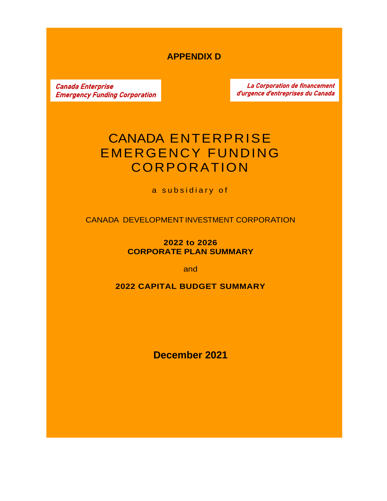# **APPENDIX D**

Canada Enterprise Emergency Funding Corporation

La Corporation de financement d'urgence d'entreprises du Canada

# CANADA ENTERPRISE EMERGENCY FUNDING CORPORATION

a subsidiary of

CANADA DEVELOPMENT INVESTMENT CORPORATION

**2022 to 2026 CORPORATE PLAN SUMMARY**

and

**2022 CAPITAL BUDGET SUMMARY**

**December 2021**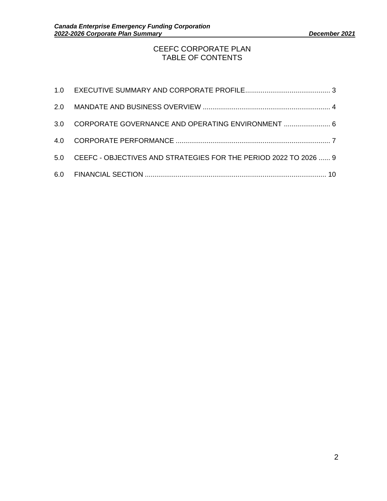#### CEEFC CORPORATE PLAN TABLE OF CONTENTS

| 3.0 CORPORATE GOVERNANCE AND OPERATING ENVIRONMENT  6                |  |
|----------------------------------------------------------------------|--|
|                                                                      |  |
| 5.0 CEEFC - OBJECTIVES AND STRATEGIES FOR THE PERIOD 2022 TO 2026  9 |  |
|                                                                      |  |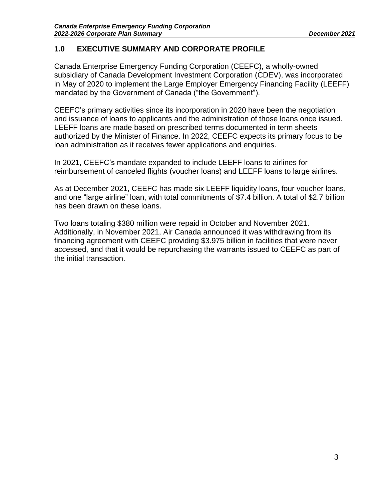### <span id="page-2-0"></span>**1.0 EXECUTIVE SUMMARY AND CORPORATE PROFILE**

Canada Enterprise Emergency Funding Corporation (CEEFC), a wholly-owned subsidiary of Canada Development Investment Corporation (CDEV), was incorporated in May of 2020 to implement the Large Employer Emergency Financing Facility (LEEFF) mandated by the Government of Canada ("the Government").

CEEFC's primary activities since its incorporation in 2020 have been the negotiation and issuance of loans to applicants and the administration of those loans once issued. LEEFF loans are made based on prescribed terms documented in term sheets authorized by the Minister of Finance. In 2022, CEEFC expects its primary focus to be loan administration as it receives fewer applications and enquiries.

In 2021, CEEFC's mandate expanded to include LEEFF loans to airlines for reimbursement of canceled flights (voucher loans) and LEEFF loans to large airlines.

As at December 2021, CEEFC has made six LEEFF liquidity loans, four voucher loans, and one "large airline" loan, with total commitments of \$7.4 billion. A total of \$2.7 billion has been drawn on these loans.

Two loans totaling \$380 million were repaid in October and November 2021. Additionally, in November 2021, Air Canada announced it was withdrawing from its financing agreement with CEEFC providing \$3.975 billion in facilities that were never accessed, and that it would be repurchasing the warrants issued to CEEFC as part of the initial transaction.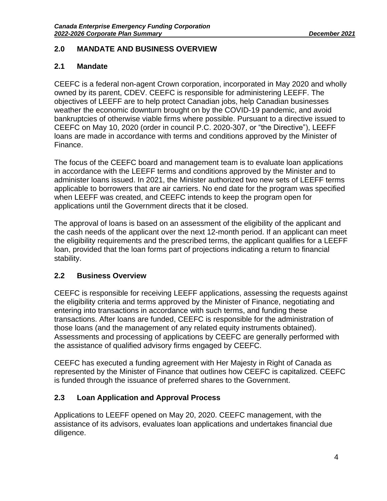### <span id="page-3-0"></span>**2.0 MANDATE AND BUSINESS OVERVIEW**

#### **2.1 Mandate**

CEEFC is a federal non-agent Crown corporation, incorporated in May 2020 and wholly owned by its parent, CDEV. CEEFC is responsible for administering LEEFF. The objectives of LEEFF are to help protect Canadian jobs, help Canadian businesses weather the economic downturn brought on by the COVID-19 pandemic, and avoid bankruptcies of otherwise viable firms where possible. Pursuant to a directive issued to CEEFC on May 10, 2020 (order in council P.C. 2020-307, or "the Directive"), LEEFF loans are made in accordance with terms and conditions approved by the Minister of Finance.

The focus of the CEEFC board and management team is to evaluate loan applications in accordance with the LEEFF terms and conditions approved by the Minister and to administer loans issued. In 2021, the Minister authorized two new sets of LEEFF terms applicable to borrowers that are air carriers. No end date for the program was specified when LEEFF was created, and CEEFC intends to keep the program open for applications until the Government directs that it be closed.

The approval of loans is based on an assessment of the eligibility of the applicant and the cash needs of the applicant over the next 12-month period. If an applicant can meet the eligibility requirements and the prescribed terms, the applicant qualifies for a LEEFF loan, provided that the loan forms part of projections indicating a return to financial stability.

## **2.2 Business Overview**

CEEFC is responsible for receiving LEEFF applications, assessing the requests against the eligibility criteria and terms approved by the Minister of Finance, negotiating and entering into transactions in accordance with such terms, and funding these transactions. After loans are funded, CEEFC is responsible for the administration of those loans (and the management of any related equity instruments obtained). Assessments and processing of applications by CEEFC are generally performed with the assistance of qualified advisory firms engaged by CEEFC.

CEEFC has executed a funding agreement with Her Majesty in Right of Canada as represented by the Minister of Finance that outlines how CEEFC is capitalized. CEEFC is funded through the issuance of preferred shares to the Government.

## **2.3 Loan Application and Approval Process**

Applications to LEEFF opened on May 20, 2020. CEEFC management, with the assistance of its advisors, evaluates loan applications and undertakes financial due diligence.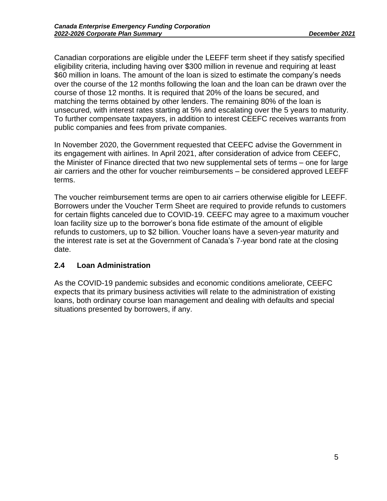Canadian corporations are eligible under the LEEFF term sheet if they satisfy specified eligibility criteria, including having over \$300 million in revenue and requiring at least \$60 million in loans. The amount of the loan is sized to estimate the company's needs over the course of the 12 months following the loan and the loan can be drawn over the course of those 12 months. It is required that 20% of the loans be secured, and matching the terms obtained by other lenders. The remaining 80% of the loan is unsecured, with interest rates starting at 5% and escalating over the 5 years to maturity. To further compensate taxpayers, in addition to interest CEEFC receives warrants from public companies and fees from private companies.

In November 2020, the Government requested that CEEFC advise the Government in its engagement with airlines. In April 2021, after consideration of advice from CEEFC, the Minister of Finance directed that two new supplemental sets of terms – one for large air carriers and the other for voucher reimbursements – be considered approved LEEFF terms.

The voucher reimbursement terms are open to air carriers otherwise eligible for LEEFF. Borrowers under the Voucher Term Sheet are required to provide refunds to customers for certain flights canceled due to COVID-19. CEEFC may agree to a maximum voucher loan facility size up to the borrower's bona fide estimate of the amount of eligible refunds to customers, up to \$2 billion. Voucher loans have a seven-year maturity and the interest rate is set at the Government of Canada's 7-year bond rate at the closing date.

## **2.4 Loan Administration**

As the COVID-19 pandemic subsides and economic conditions ameliorate, CEEFC expects that its primary business activities will relate to the administration of existing loans, both ordinary course loan management and dealing with defaults and special situations presented by borrowers, if any.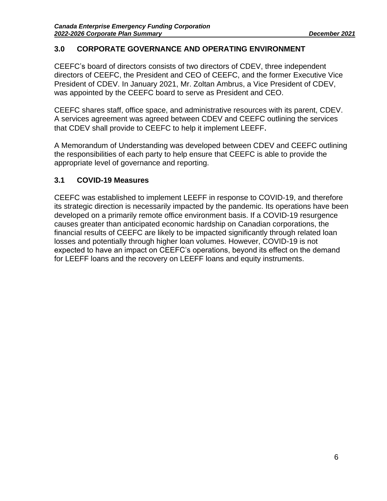#### <span id="page-5-0"></span>**3.0 CORPORATE GOVERNANCE AND OPERATING ENVIRONMENT**

CEEFC's board of directors consists of two directors of CDEV, three independent directors of CEEFC, the President and CEO of CEEFC, and the former Executive Vice President of CDEV. In January 2021, Mr. Zoltan Ambrus, a Vice President of CDEV, was appointed by the CEEFC board to serve as President and CEO.

CEEFC shares staff, office space, and administrative resources with its parent, CDEV. A services agreement was agreed between CDEV and CEEFC outlining the services that CDEV shall provide to CEEFC to help it implement LEEFF.

A Memorandum of Understanding was developed between CDEV and CEEFC outlining the responsibilities of each party to help ensure that CEEFC is able to provide the appropriate level of governance and reporting.

#### **3.1 COVID-19 Measures**

CEEFC was established to implement LEEFF in response to COVID-19, and therefore its strategic direction is necessarily impacted by the pandemic. Its operations have been developed on a primarily remote office environment basis. If a COVID-19 resurgence causes greater than anticipated economic hardship on Canadian corporations, the financial results of CEEFC are likely to be impacted significantly through related loan losses and potentially through higher loan volumes. However, COVID-19 is not expected to have an impact on CEEFC's operations, beyond its effect on the demand for LEEFF loans and the recovery on LEEFF loans and equity instruments.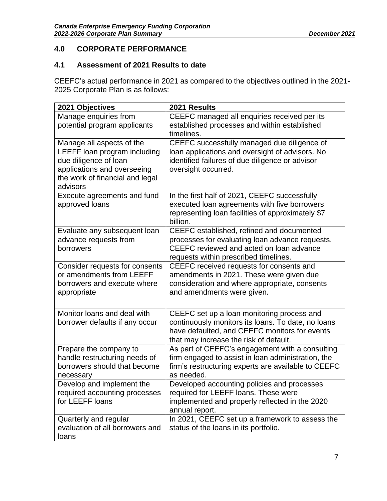## <span id="page-6-0"></span>**4.0 CORPORATE PERFORMANCE**

### **4.1 Assessment of 2021 Results to date**

CEEFC's actual performance in 2021 as compared to the objectives outlined in the 2021- 2025 Corporate Plan is as follows:

| 2021 Objectives                                                                                                                                                  | 2021 Results                                                                                                                                                                                |
|------------------------------------------------------------------------------------------------------------------------------------------------------------------|---------------------------------------------------------------------------------------------------------------------------------------------------------------------------------------------|
| Manage enquiries from<br>potential program applicants                                                                                                            | CEEFC managed all enquiries received per its<br>established processes and within established<br>timelines.                                                                                  |
| Manage all aspects of the<br>LEEFF loan program including<br>due diligence of loan<br>applications and overseeing<br>the work of financial and legal<br>advisors | CEEFC successfully managed due diligence of<br>loan applications and oversight of advisors. No<br>identified failures of due diligence or advisor<br>oversight occurred.                    |
| Execute agreements and fund<br>approved loans                                                                                                                    | In the first half of 2021, CEEFC successfully<br>executed loan agreements with five borrowers<br>representing loan facilities of approximately \$7<br>billion.                              |
| Evaluate any subsequent loan<br>advance requests from<br>borrowers                                                                                               | CEEFC established, refined and documented<br>processes for evaluating loan advance requests.<br>CEEFC reviewed and acted on loan advance<br>requests within prescribed timelines.           |
| Consider requests for consents<br>or amendments from LEEFF<br>borrowers and execute where<br>appropriate                                                         | CEEFC received requests for consents and<br>amendments in 2021. These were given due<br>consideration and where appropriate, consents<br>and amendments were given.                         |
| Monitor loans and deal with<br>borrower defaults if any occur                                                                                                    | CEEFC set up a loan monitoring process and<br>continuously monitors its loans. To date, no loans<br>have defaulted, and CEEFC monitors for events<br>that may increase the risk of default. |
| Prepare the company to<br>handle restructuring needs of<br>borrowers should that become<br>necessary                                                             | As part of CEEFC's engagement with a consulting<br>firm engaged to assist in loan administration, the<br>firm's restructuring experts are available to CEEFC<br>as needed.                  |
| Develop and implement the<br>required accounting processes<br>for LEEFF loans                                                                                    | Developed accounting policies and processes<br>required for LEEFF loans. These were<br>implemented and properly reflected in the 2020<br>annual report.                                     |
| Quarterly and regular<br>evaluation of all borrowers and<br>loans                                                                                                | In 2021, CEEFC set up a framework to assess the<br>status of the loans in its portfolio.                                                                                                    |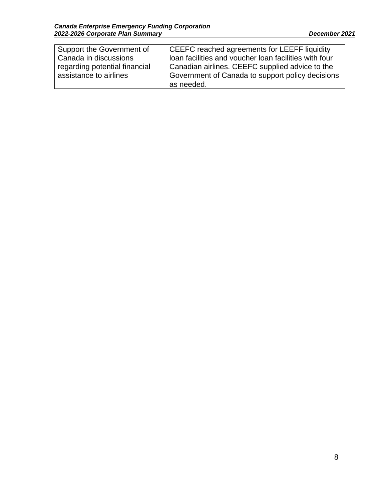| Support the Government of     | CEEFC reached agreements for LEEFF liquidity          |
|-------------------------------|-------------------------------------------------------|
| Canada in discussions         | loan facilities and voucher loan facilities with four |
| regarding potential financial | Canadian airlines. CEEFC supplied advice to the       |
| assistance to airlines        | Government of Canada to support policy decisions      |
|                               | as needed.                                            |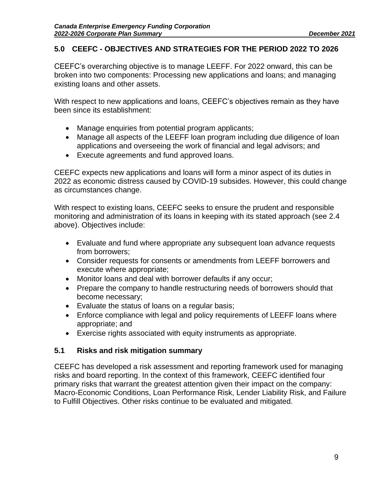#### <span id="page-8-0"></span>**5.0 CEEFC - OBJECTIVES AND STRATEGIES FOR THE PERIOD 2022 TO 2026**

CEEFC's overarching objective is to manage LEEFF. For 2022 onward, this can be broken into two components: Processing new applications and loans; and managing existing loans and other assets.

With respect to new applications and loans, CEEFC's objectives remain as they have been since its establishment:

- Manage enquiries from potential program applicants;
- Manage all aspects of the LEEFF loan program including due diligence of loan applications and overseeing the work of financial and legal advisors; and
- Execute agreements and fund approved loans.

CEEFC expects new applications and loans will form a minor aspect of its duties in 2022 as economic distress caused by COVID-19 subsides. However, this could change as circumstances change.

With respect to existing loans, CEEFC seeks to ensure the prudent and responsible monitoring and administration of its loans in keeping with its stated approach (see 2.4 above). Objectives include:

- Evaluate and fund where appropriate any subsequent loan advance requests from borrowers;
- Consider requests for consents or amendments from LEEFF borrowers and execute where appropriate;
- Monitor loans and deal with borrower defaults if any occur;
- Prepare the company to handle restructuring needs of borrowers should that become necessary;
- Evaluate the status of loans on a regular basis;
- Enforce compliance with legal and policy requirements of LEEFF loans where appropriate; and
- Exercise rights associated with equity instruments as appropriate.

#### **5.1 Risks and risk mitigation summary**

CEEFC has developed a risk assessment and reporting framework used for managing risks and board reporting. In the context of this framework, CEEFC identified four primary risks that warrant the greatest attention given their impact on the company: Macro-Economic Conditions, Loan Performance Risk, Lender Liability Risk, and Failure to Fulfill Objectives. Other risks continue to be evaluated and mitigated.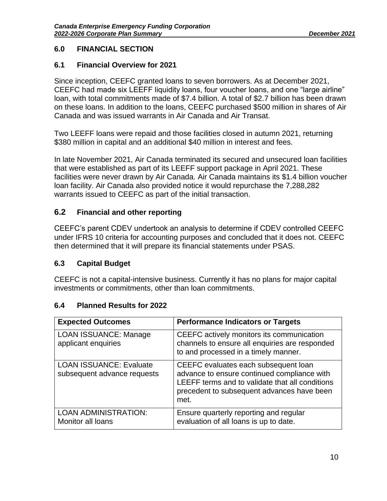### <span id="page-9-0"></span>**6.0 FINANCIAL SECTION**

## **6.1 Financial Overview for 2021**

Since inception, CEEFC granted loans to seven borrowers. As at December 2021, CEEFC had made six LEEFF liquidity loans, four voucher loans, and one "large airline" loan, with total commitments made of \$7.4 billion. A total of \$2.7 billion has been drawn on these loans. In addition to the loans, CEEFC purchased \$500 million in shares of Air Canada and was issued warrants in Air Canada and Air Transat.

Two LEEFF loans were repaid and those facilities closed in autumn 2021, returning \$380 million in capital and an additional \$40 million in interest and fees.

In late November 2021, Air Canada terminated its secured and unsecured loan facilities that were established as part of its LEEFF support package in April 2021. These facilities were never drawn by Air Canada. Air Canada maintains its \$1.4 billion voucher loan facility. Air Canada also provided notice it would repurchase the 7,288,282 warrants issued to CEEFC as part of the initial transaction.

## **6.2 Financial and other reporting**

CEEFC's parent CDEV undertook an analysis to determine if CDEV controlled CEEFC under IFRS 10 criteria for accounting purposes and concluded that it does not. CEEFC then determined that it will prepare its financial statements under PSAS.

## **6.3 Capital Budget**

CEEFC is not a capital-intensive business. Currently it has no plans for major capital investments or commitments, other than loan commitments.

## **6.4 Planned Results for 2022**

| <b>Expected Outcomes</b>                                      | <b>Performance Indicators or Targets</b>                                                                                                                                                     |
|---------------------------------------------------------------|----------------------------------------------------------------------------------------------------------------------------------------------------------------------------------------------|
| <b>LOAN ISSUANCE: Manage</b><br>applicant enquiries           | CEEFC actively monitors its communication<br>channels to ensure all enquiries are responded<br>to and processed in a timely manner.                                                          |
| <b>LOAN ISSUANCE: Evaluate</b><br>subsequent advance requests | CEEFC evaluates each subsequent loan<br>advance to ensure continued compliance with<br>LEEFF terms and to validate that all conditions<br>precedent to subsequent advances have been<br>met. |
| <b>LOAN ADMINISTRATION:</b><br>Monitor all loans              | Ensure quarterly reporting and regular<br>evaluation of all loans is up to date.                                                                                                             |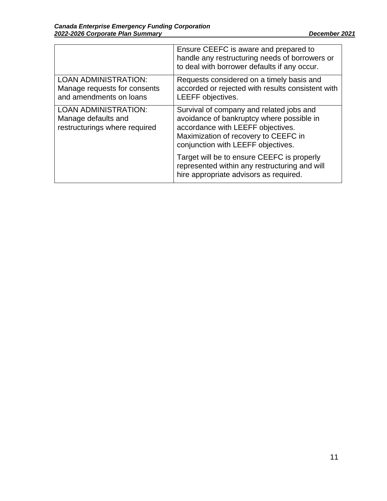|                                                                                        | Ensure CEEFC is aware and prepared to<br>handle any restructuring needs of borrowers or<br>to deal with borrower defaults if any occur.                                                                  |
|----------------------------------------------------------------------------------------|----------------------------------------------------------------------------------------------------------------------------------------------------------------------------------------------------------|
| <b>LOAN ADMINISTRATION:</b><br>Manage requests for consents<br>and amendments on loans | Requests considered on a timely basis and<br>accorded or rejected with results consistent with<br>LEEFF objectives.                                                                                      |
| <b>LOAN ADMINISTRATION:</b><br>Manage defaults and<br>restructurings where required    | Survival of company and related jobs and<br>avoidance of bankruptcy where possible in<br>accordance with LEEFF objectives.<br>Maximization of recovery to CEEFC in<br>conjunction with LEEFF objectives. |
|                                                                                        | Target will be to ensure CEEFC is properly<br>represented within any restructuring and will<br>hire appropriate advisors as required.                                                                    |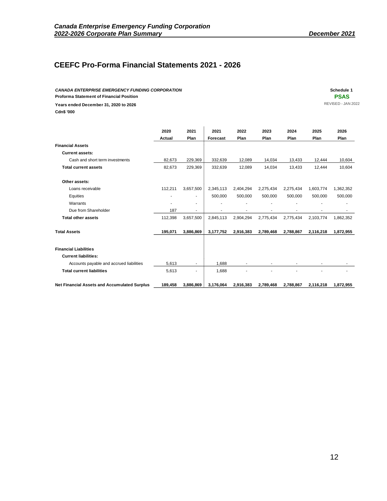## **CEEFC Pro-Forma Financial Statements 2021 - 2026**

*CANADA ENTERPRISE EMERGENCY FUNDING CORPORATION* **Schedule 1 Proforma Statement of Financial Position PSAS Years ended December 31, 2020 to 2026** REVISED - JAN 2022 **Cdn\$ '000**

|                                                     | 2020    | 2021                     | 2021            | 2022                     | 2023      | 2024      | 2025      | 2026      |
|-----------------------------------------------------|---------|--------------------------|-----------------|--------------------------|-----------|-----------|-----------|-----------|
|                                                     | Actual  | Plan                     | <b>Forecast</b> | Plan                     | Plan      | Plan      | Plan      | Plan      |
| <b>Financial Assets</b>                             |         |                          |                 |                          |           |           |           |           |
| <b>Current assets:</b>                              |         |                          |                 |                          |           |           |           |           |
| Cash and short term investments                     | 82,673  | 229,369                  | 332,639         | 12,089                   | 14,034    | 13,433    | 12,444    | 10,604    |
| <b>Total current assets</b>                         | 82,673  | 229,369                  | 332,639         | 12,089                   | 14,034    | 13,433    | 12.444    | 10,604    |
| Other assets:                                       |         |                          |                 |                          |           |           |           |           |
| Loans receivable                                    | 112,211 | 3,657,500                | 2,345,113       | 2,404,294                | 2,275,434 | 2,275,434 | 1,603,774 | 1,362,352 |
| Equities                                            | ÷       | $\blacksquare$           | 500,000         | 500,000                  | 500,000   | 500,000   | 500,000   | 500,000   |
| Warrants                                            |         | $\blacksquare$           |                 |                          |           |           |           |           |
| Due from Shareholder                                | 187     | $\overline{\phantom{a}}$ |                 |                          |           |           |           |           |
| <b>Total other assets</b>                           | 112,398 | 3,657,500                | 2,845,113       | 2,904,294                | 2,775,434 | 2,775,434 | 2,103,774 | 1,862,352 |
| <b>Total Assets</b>                                 | 195,071 | 3,886,869                | 3,177,752       | 2,916,383                | 2,789,468 | 2,788,867 | 2,116,218 | 1,872,955 |
| <b>Financial Liabilities</b>                        |         |                          |                 |                          |           |           |           |           |
| <b>Current liabilities:</b>                         |         |                          |                 |                          |           |           |           |           |
| Accounts payable and accrued liabilities            | 5,613   | $\overline{\phantom{a}}$ | 1,688           | $\overline{\phantom{a}}$ | ٠         | ٠         |           |           |
| <b>Total current liabilities</b>                    | 5,613   | ٠                        | 1.688           |                          |           |           |           |           |
| <b>Net Financial Assets and Accumulated Surplus</b> | 189,458 | 3,886,869                | 3,176,064       | 2,916,383                | 2,789,468 | 2,788,867 | 2,116,218 | 1,872,955 |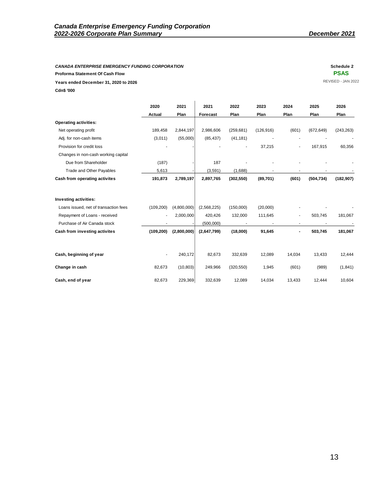# **Proforma Statement Of Cash Flow PSAS**

| <b>CANADA ENTERPRISE EMERGENCY FUNDING CORPORATION</b><br>Proforma Statement Of Cash Flow |            |                              |             |                          |                          |                          |            | Schedule 2<br><b>PSAS</b> |
|-------------------------------------------------------------------------------------------|------------|------------------------------|-------------|--------------------------|--------------------------|--------------------------|------------|---------------------------|
| Years ended December 31, 2020 to 2026                                                     |            |                              |             |                          |                          |                          |            | REVISED - JAN 20          |
| Cdn\$ '000                                                                                |            |                              |             |                          |                          |                          |            |                           |
|                                                                                           |            |                              |             |                          |                          |                          |            |                           |
|                                                                                           | 2020       | 2021                         | 2021        | 2022                     | 2023                     | 2024                     | 2025       | 2026                      |
|                                                                                           | Actual     | Plan                         | Forecast    | Plan                     | Plan                     | Plan                     | Plan       | Plan                      |
| <b>Operating activities:</b>                                                              |            |                              |             |                          |                          |                          |            |                           |
| Net operating profit                                                                      | 189,458    | 2,844,197                    | 2,986,606   | (259, 681)               | (126, 916)               | (601)                    | (672, 649) | (243, 263)                |
| Adj. for non-cash items                                                                   | (3,011)    | (55,000)                     | (85, 437)   | (41, 181)                |                          |                          |            |                           |
| Provision for credit loss                                                                 |            |                              |             |                          | 37,215                   | $\overline{\phantom{a}}$ | 167,915    | 60,356                    |
| Changes in non-cash working capital                                                       |            |                              |             |                          |                          |                          |            |                           |
| Due from Shareholder                                                                      | (187)      |                              | 187         | $\overline{\phantom{a}}$ |                          |                          |            |                           |
| Trade and Other Payables                                                                  | 5,613      |                              | (3,591)     | (1,688)                  |                          |                          |            |                           |
| Cash from operating activites                                                             | 191,873    | 2,789,197                    | 2,897,765   | (302, 550)               | (89, 701)                | (601)                    | (504, 734) | (182, 907)                |
| Investing activities:                                                                     |            |                              |             |                          |                          |                          |            |                           |
| Loans issued, net of transaction fees                                                     | (109, 200) | (4,800,000)                  | (2,568,225) | (150,000)                | (20,000)                 |                          |            |                           |
| Repayment of Loans - received                                                             |            | 2,000,000                    | 420,426     | 132,000                  | 111,645                  | $\blacksquare$           | 503,745    | 181,067                   |
| Purchase of Air Canada stock                                                              | ٠          |                              | (500,000)   | $\sim$                   | $\overline{\phantom{a}}$ | $\sim$                   | $\sim$     | $\overline{\phantom{a}}$  |
| Cash from investing activites                                                             |            | $(109, 200)$ $(2, 800, 000)$ | (2,647,799) | (18,000)                 | 91,645                   | $\blacksquare$           | 503,745    | 181,067                   |
| Cash, beginning of year                                                                   |            | 240,172                      | 82,673      | 332,639                  | 12,089                   | 14,034                   | 13,433     | 12,444                    |
|                                                                                           |            |                              |             |                          |                          |                          |            |                           |
| Change in cash                                                                            | 82,673     | (10, 803)                    | 249,966     | (320, 550)               | 1,945                    | (601)                    | (989)      | (1, 841)                  |
| Cash, end of year                                                                         | 82,673     | 229,369                      | 332,639     | 12,089                   | 14,034                   | 13,433                   | 12,444     | 10,604                    |
|                                                                                           |            |                              |             |                          |                          |                          |            |                           |
|                                                                                           |            |                              |             |                          |                          |                          |            |                           |
|                                                                                           |            |                              |             |                          |                          |                          |            |                           |
|                                                                                           |            |                              |             |                          |                          |                          |            |                           |
|                                                                                           |            |                              |             |                          |                          |                          |            |                           |
|                                                                                           |            |                              |             |                          |                          |                          |            |                           |
|                                                                                           |            |                              |             |                          |                          |                          |            |                           |
|                                                                                           |            |                              |             |                          |                          |                          |            |                           |
|                                                                                           |            |                              |             |                          |                          |                          |            |                           |
|                                                                                           |            |                              |             |                          |                          |                          |            |                           |
|                                                                                           |            |                              |             |                          |                          |                          |            |                           |
|                                                                                           |            |                              |             |                          |                          |                          |            |                           |
|                                                                                           |            |                              |             |                          |                          |                          |            | 13                        |